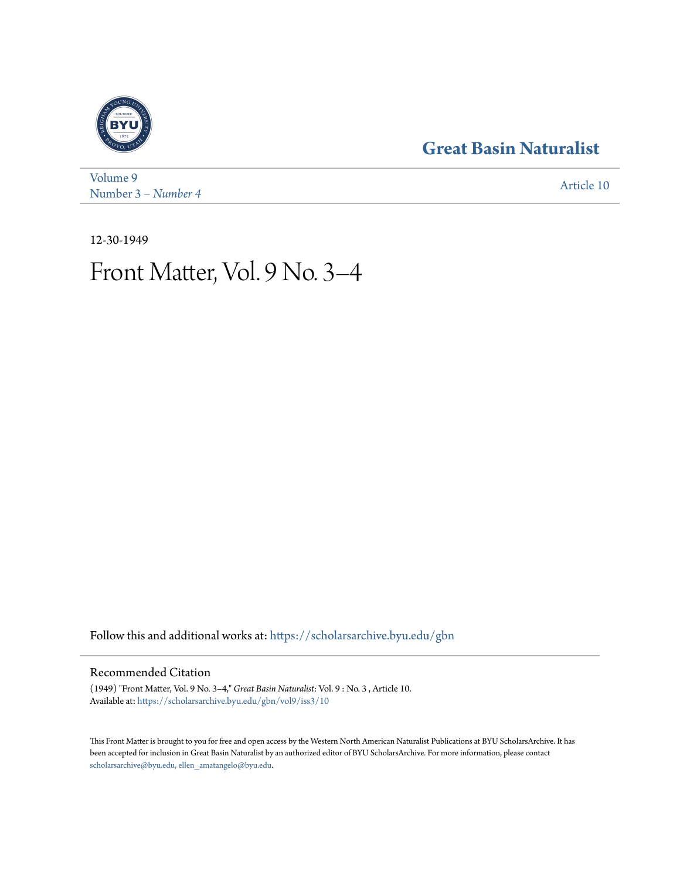### **[Great Basin Naturalist](https://scholarsarchive.byu.edu/gbn?utm_source=scholarsarchive.byu.edu%2Fgbn%2Fvol9%2Fiss3%2F10&utm_medium=PDF&utm_campaign=PDFCoverPages)**



[Volume 9](https://scholarsarchive.byu.edu/gbn/vol9?utm_source=scholarsarchive.byu.edu%2Fgbn%2Fvol9%2Fiss3%2F10&utm_medium=PDF&utm_campaign=PDFCoverPages) Number 3 [– Number 4](https://scholarsarchive.byu.edu/gbn/vol9/iss3?utm_source=scholarsarchive.byu.edu%2Fgbn%2Fvol9%2Fiss3%2F10&utm_medium=PDF&utm_campaign=PDFCoverPages) **[Article 10](https://scholarsarchive.byu.edu/gbn/vol9/iss3/10?utm_source=scholarsarchive.byu.edu%2Fgbn%2Fvol9%2Fiss3%2F10&utm_medium=PDF&utm_campaign=PDFCoverPages)** 

12-30-1949

## Front Matter, Vol. 9 No. 3–4

Follow this and additional works at: [https://scholarsarchive.byu.edu/gbn](https://scholarsarchive.byu.edu/gbn?utm_source=scholarsarchive.byu.edu%2Fgbn%2Fvol9%2Fiss3%2F10&utm_medium=PDF&utm_campaign=PDFCoverPages)

#### Recommended Citation

(1949) "Front Matter, Vol. 9 No. 3–4," *Great Basin Naturalist*: Vol. 9 : No. 3 , Article 10. Available at: [https://scholarsarchive.byu.edu/gbn/vol9/iss3/10](https://scholarsarchive.byu.edu/gbn/vol9/iss3/10?utm_source=scholarsarchive.byu.edu%2Fgbn%2Fvol9%2Fiss3%2F10&utm_medium=PDF&utm_campaign=PDFCoverPages)

This Front Matter is brought to you for free and open access by the Western North American Naturalist Publications at BYU ScholarsArchive. It has been accepted for inclusion in Great Basin Naturalist by an authorized editor of BYU ScholarsArchive. For more information, please contact [scholarsarchive@byu.edu, ellen\\_amatangelo@byu.edu.](mailto:scholarsarchive@byu.edu,%20ellen_amatangelo@byu.edu)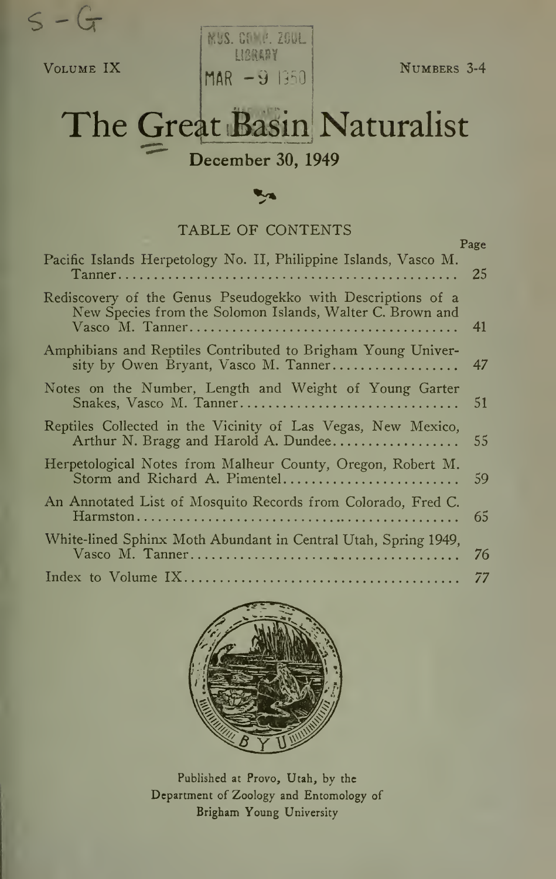$s - G$ 

Volume IX

MUS. COVP. ZOOL  $\n **MAR** -9 1350\n$ 

Numbers 3-4

# The Great Basin Naturalist

December 30, 1949

#### TABLE OF CONTENTS

|                                                                                                                          | Page |
|--------------------------------------------------------------------------------------------------------------------------|------|
| Pacific Islands Herpetology No. II, Philippine Islands, Vasco M.                                                         | 25   |
| Rediscovery of the Genus Pseudogekko with Descriptions of a<br>New Species from the Solomon Islands, Walter C. Brown and | 41   |
| Amphibians and Reptiles Contributed to Brigham Young Univer-<br>sity by Owen Bryant, Vasco M. Tanner                     | 47   |
| Notes on the Number, Length and Weight of Young Garter<br>Snakes, Vasco M. Tanner                                        | 51   |
| Reptiles Collected in the Vicinity of Las Vegas, New Mexico,<br>Arthur N. Bragg and Harold A. Dundee                     | 55   |
| Herpetological Notes from Malheur County, Oregon, Robert M.<br>Storm and Richard A. Pimentel                             | 59   |
| An Annotated List of Mosquito Records from Colorado, Fred C.                                                             | 65   |
| White-lined Sphinx Moth Abundant in Central Utah, Spring 1949,                                                           | 76   |
|                                                                                                                          | 77   |



Published at Provo, Utah, by the Department of Zoology and Entomology of Brigham Young University